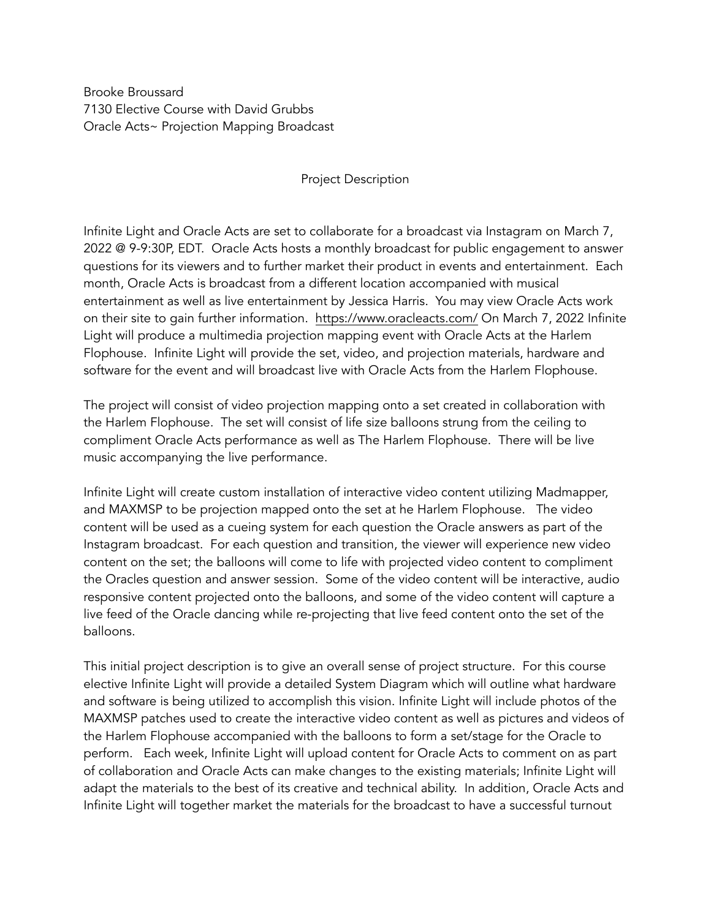Brooke Broussard 7130 Elective Course with David Grubbs Oracle Acts~ Projection Mapping Broadcast

## Project Description

Infinite Light and Oracle Acts are set to collaborate for a broadcast via Instagram on March 7, 2022 @ 9-9:30P, EDT. Oracle Acts hosts a monthly broadcast for public engagement to answer questions for its viewers and to further market their product in events and entertainment. Each month, Oracle Acts is broadcast from a different location accompanied with musical entertainment as well as live entertainment by Jessica Harris. You may view Oracle Acts work on their site to gain further information. <https://www.oracleacts.com/>On March 7, 2022 Infinite Light will produce a multimedia projection mapping event with Oracle Acts at the Harlem Flophouse. Infinite Light will provide the set, video, and projection materials, hardware and software for the event and will broadcast live with Oracle Acts from the Harlem Flophouse.

The project will consist of video projection mapping onto a set created in collaboration with the Harlem Flophouse. The set will consist of life size balloons strung from the ceiling to compliment Oracle Acts performance as well as The Harlem Flophouse. There will be live music accompanying the live performance.

Infinite Light will create custom installation of interactive video content utilizing Madmapper, and MAXMSP to be projection mapped onto the set at he Harlem Flophouse. The video content will be used as a cueing system for each question the Oracle answers as part of the Instagram broadcast. For each question and transition, the viewer will experience new video content on the set; the balloons will come to life with projected video content to compliment the Oracles question and answer session. Some of the video content will be interactive, audio responsive content projected onto the balloons, and some of the video content will capture a live feed of the Oracle dancing while re-projecting that live feed content onto the set of the balloons.

This initial project description is to give an overall sense of project structure. For this course elective Infinite Light will provide a detailed System Diagram which will outline what hardware and software is being utilized to accomplish this vision. Infinite Light will include photos of the MAXMSP patches used to create the interactive video content as well as pictures and videos of the Harlem Flophouse accompanied with the balloons to form a set/stage for the Oracle to perform. Each week, Infinite Light will upload content for Oracle Acts to comment on as part of collaboration and Oracle Acts can make changes to the existing materials; Infinite Light will adapt the materials to the best of its creative and technical ability. In addition, Oracle Acts and Infinite Light will together market the materials for the broadcast to have a successful turnout